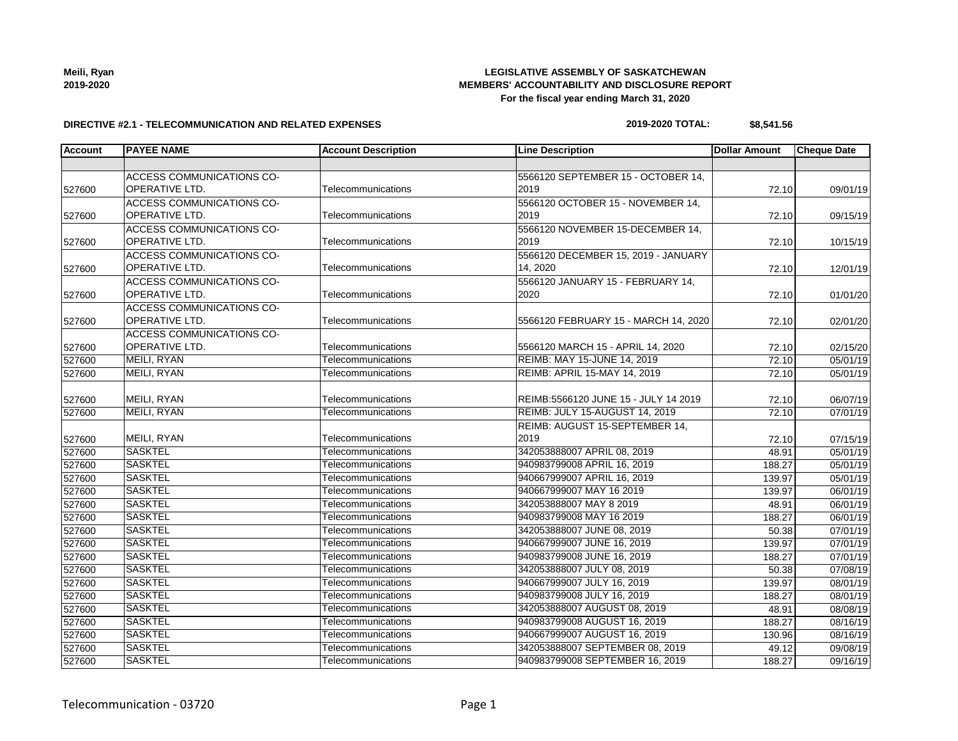| Meili, Ryan |  |
|-------------|--|
| 2019-2020   |  |

#### **DIRECTIVE #2.1 - TELECOMMUNICATION AND RELATED EXPENSES**

# **2019-2020 TOTAL: \$8,541.56**

| <b>Account</b> | <b>PAYEE NAME</b>                | <b>Account Description</b> | <b>Line Description</b>              | Dollar Amount | <b>Cheque Date</b> |
|----------------|----------------------------------|----------------------------|--------------------------------------|---------------|--------------------|
|                |                                  |                            |                                      |               |                    |
|                | ACCESS COMMUNICATIONS CO-        |                            | 5566120 SEPTEMBER 15 - OCTOBER 14,   |               |                    |
| 527600         | <b>OPERATIVE LTD.</b>            | Telecommunications         | 2019                                 | 72.10         | 09/01/19           |
|                | ACCESS COMMUNICATIONS CO-        |                            | 5566120 OCTOBER 15 - NOVEMBER 14,    |               |                    |
| 527600         | OPERATIVE LTD.                   | Telecommunications         | 2019                                 | 72.10         | 09/15/19           |
|                | ACCESS COMMUNICATIONS CO-        |                            | 5566120 NOVEMBER 15-DECEMBER 14,     |               |                    |
| 527600         | OPERATIVE LTD.                   | Telecommunications         | 2019                                 | 72.10         | 10/15/19           |
|                | ACCESS COMMUNICATIONS CO-        |                            | 5566120 DECEMBER 15, 2019 - JANUARY  |               |                    |
| 527600         | OPERATIVE LTD.                   | Telecommunications         | 14, 2020                             | 72.10         | 12/01/19           |
|                | <b>ACCESS COMMUNICATIONS CO-</b> |                            | 5566120 JANUARY 15 - FEBRUARY 14.    |               |                    |
| 527600         | <b>OPERATIVE LTD.</b>            | Telecommunications         | 2020                                 | 72.10         | 01/01/20           |
|                | ACCESS COMMUNICATIONS CO-        |                            |                                      |               |                    |
| 527600         | OPERATIVE LTD.                   | Telecommunications         | 5566120 FEBRUARY 15 - MARCH 14, 2020 | 72.10         | 02/01/20           |
|                | <b>ACCESS COMMUNICATIONS CO-</b> |                            |                                      |               |                    |
| 527600         | OPERATIVE LTD.                   | Telecommunications         | 5566120 MARCH 15 - APRIL 14, 2020    | 72.10         | 02/15/20           |
| 527600         | MEILI, RYAN                      | Telecommunications         | <b>REIMB: MAY 15-JUNE 14, 2019</b>   | 72.10         | 05/01/19           |
| 527600         | MEILI, RYAN                      | Telecommunications         | <b>REIMB: APRIL 15-MAY 14, 2019</b>  | 72.10         | 05/01/19           |
|                |                                  |                            |                                      |               |                    |
| 527600         | MEILI, RYAN                      | Telecommunications         | REIMB:5566120 JUNE 15 - JULY 14 2019 | 72.10         | 06/07/19           |
| 527600         | <b>MEILI, RYAN</b>               | Telecommunications         | REIMB: JULY 15-AUGUST 14, 2019       | 72.10         | 07/01/19           |
|                |                                  |                            | REIMB: AUGUST 15-SEPTEMBER 14,       |               |                    |
| 527600         | MEILI, RYAN                      | Telecommunications         | 2019                                 | 72.10         | 07/15/19           |
| 527600         | <b>SASKTEL</b>                   | Telecommunications         | 342053888007 APRIL 08, 2019          | 48.91         | 05/01/19           |
| 527600         | <b>SASKTEL</b>                   | Telecommunications         | 940983799008 APRIL 16, 2019          | 188.27        | 05/01/19           |
| 527600         | <b>SASKTEL</b>                   | Telecommunications         | 940667999007 APRIL 16, 2019          | 139.97        | 05/01/19           |
| 527600         | <b>SASKTEL</b>                   | Telecommunications         | 940667999007 MAY 16 2019             | 139.97        | 06/01/19           |
| 527600         | <b>SASKTEL</b>                   | Telecommunications         | 342053888007 MAY 8 2019              | 48.91         | 06/01/19           |
| 527600         | <b>SASKTEL</b>                   | Telecommunications         | 940983799008 MAY 16 2019             | 188.27        | 06/01/19           |
| 527600         | <b>SASKTEL</b>                   | Telecommunications         | 342053888007 JUNE 08, 2019           | 50.38         | 07/01/19           |
| 527600         | <b>SASKTEL</b>                   | Telecommunications         | 940667999007 JUNE 16, 2019           | 139.97        | 07/01/19           |
| 527600         | <b>SASKTEL</b>                   | Telecommunications         | 940983799008 JUNE 16, 2019           | 188.27        | 07/01/19           |
| 527600         | <b>SASKTEL</b>                   | Telecommunications         | 342053888007 JULY 08, 2019           | 50.38         | 07/08/19           |
| 527600         | <b>SASKTEL</b>                   | Telecommunications         | 940667999007 JULY 16, 2019           | 139.97        | 08/01/19           |
| 527600         | <b>SASKTEL</b>                   | Telecommunications         | 940983799008 JULY 16, 2019           | 188.27        | 08/01/19           |
| 527600         | <b>SASKTEL</b>                   | Telecommunications         | 342053888007 AUGUST 08, 2019         | 48.91         | 08/08/19           |
| 527600         | <b>SASKTEL</b>                   | Telecommunications         | 940983799008 AUGUST 16, 2019         | 188.27        | 08/16/19           |
| 527600         | <b>SASKTEL</b>                   | Telecommunications         | 940667999007 AUGUST 16, 2019         | 130.96        | 08/16/19           |
| 527600         | <b>SASKTEL</b>                   | Telecommunications         | 342053888007 SEPTEMBER 08, 2019      | 49.12         | 09/08/19           |
| 527600         | <b>SASKTEL</b>                   | Telecommunications         | 940983799008 SEPTEMBER 16, 2019      | 188.27        | 09/16/19           |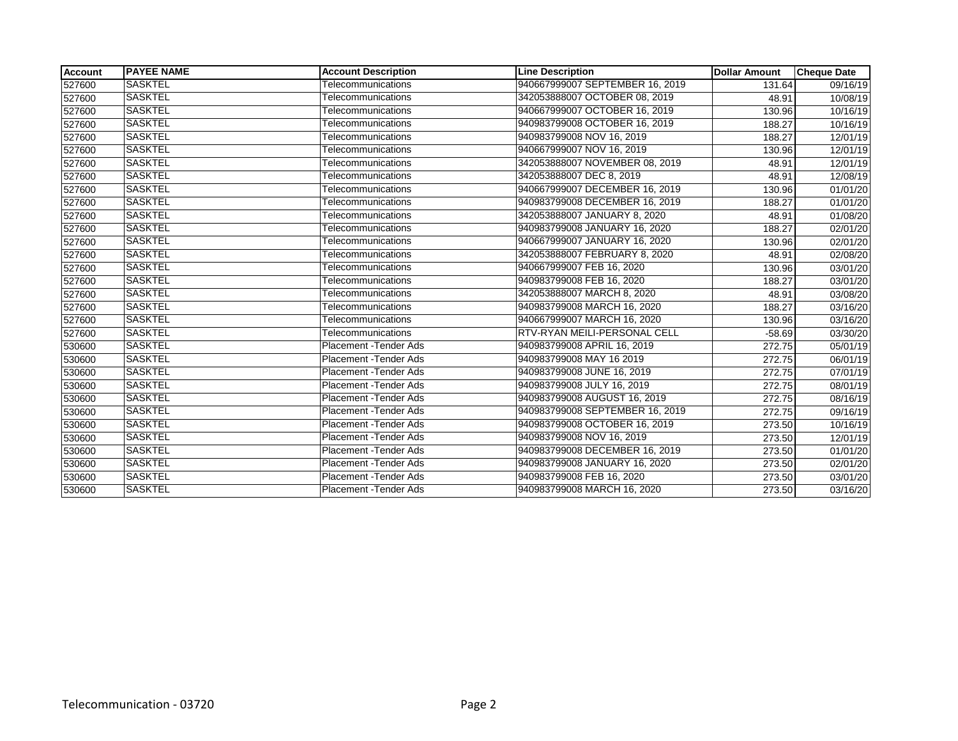| <b>Account</b> | <b>PAYEE NAME</b> | <b>Account Description</b>    | <b>Line Description</b>             | <b>Dollar Amount</b> | <b>Cheque Date</b>    |
|----------------|-------------------|-------------------------------|-------------------------------------|----------------------|-----------------------|
| 527600         | <b>SASKTEL</b>    | Telecommunications            | 940667999007 SEPTEMBER 16, 2019     | 131.64               | 09/16/19              |
| 527600         | <b>SASKTEL</b>    | Telecommunications            | 342053888007 OCTOBER 08, 2019       | 48.91                | 10/08/19              |
| 527600         | SASKTEL           | Telecommunications            | 940667999007 OCTOBER 16, 2019       | 130.96               | 10/16/19              |
| 527600         | <b>SASKTEL</b>    | Telecommunications            | 940983799008 OCTOBER 16, 2019       | 188.27               | 10/16/19              |
| 527600         | <b>SASKTEL</b>    | Telecommunications            | 940983799008 NOV 16, 2019           | 188.27               | 12/01/19              |
| 527600         | <b>SASKTEL</b>    | Telecommunications            | 940667999007 NOV 16, 2019           | 130.96               | 12/01/19              |
| 527600         | <b>SASKTEL</b>    | Telecommunications            | 342053888007 NOVEMBER 08, 2019      | 48.91                | 12/01/19              |
| 527600         | <b>SASKTEL</b>    | Telecommunications            | 342053888007 DEC 8, 2019            | 48.91                | 12/08/19              |
| 527600         | <b>SASKTEL</b>    | Telecommunications            | 940667999007 DECEMBER 16, 2019      | 130.96               | 01/01/20              |
| 527600         | <b>SASKTEL</b>    | Telecommunications            | 940983799008 DECEMBER 16, 2019      | 188.27               | 01/01/20              |
| 527600         | <b>SASKTEL</b>    | Telecommunications            | 342053888007 JANUARY 8, 2020        | 48.91                | 01/08/20              |
| 527600         | <b>SASKTEL</b>    | Telecommunications            | 940983799008 JANUARY 16, 2020       | 188.27               | 02/01/20              |
| 527600         | <b>SASKTEL</b>    | Telecommunications            | 940667999007 JANUARY 16, 2020       | 130.96               | 02/01/20              |
| 527600         | <b>SASKTEL</b>    | Telecommunications            | 342053888007 FEBRUARY 8, 2020       | 48.91                | 02/08/20              |
| 527600         | <b>SASKTEL</b>    | Telecommunications            | 940667999007 FEB 16, 2020           | 130.96               | 03/01/20              |
| 527600         | <b>SASKTEL</b>    | Telecommunications            | 940983799008 FEB 16, 2020           | 188.27               | 03/01/20              |
| 527600         | <b>SASKTEL</b>    | Telecommunications            | 342053888007 MARCH 8, 2020          | 48.91                | 03/08/20              |
| 527600         | SASKTEL           | Telecommunications            | 940983799008 MARCH 16, 2020         | 188.27               | 03/16/20              |
| 527600         | <b>SASKTEL</b>    | Telecommunications            | 940667999007 MARCH 16, 2020         | 130.96               | 03/16/20              |
| 527600         | <b>SASKTEL</b>    | Telecommunications            | <b>RTV-RYAN MEILI-PERSONAL CELL</b> | $-58.69$             | 03/30/20              |
| 530600         | <b>SASKTEL</b>    | Placement - Tender Ads        | 940983799008 APRIL 16, 2019         | 272.75               | 05/01/19              |
| 530600         | <b>SASKTEL</b>    | Placement - Tender Ads        | 940983799008 MAY 16 2019            | 272.75               | 06/01/19              |
| 530600         | <b>SASKTEL</b>    | Placement - Tender Ads        | 940983799008 JUNE 16, 2019          | 272.75               | 07/01/19              |
| 530600         | <b>SASKTEL</b>    | Placement - Tender Ads        | 940983799008 JULY 16, 2019          | 272.75               | 08/01/19              |
| 530600         | <b>SASKTEL</b>    | Placement - Tender Ads        | 940983799008 AUGUST 16, 2019        | 272.75               | 08/16/19              |
| 530600         | <b>SASKTEL</b>    | Placement - Tender Ads        | 940983799008 SEPTEMBER 16, 2019     | 272.75               | 09/16/19              |
| 530600         | <b>SASKTEL</b>    | <b>Placement - Tender Ads</b> | 940983799008 OCTOBER 16, 2019       | 273.50               | 10/16/19              |
| 530600         | SASKTEL           | <b>Placement - Tender Ads</b> | 940983799008 NOV 16, 2019           | 273.50               | $\overline{12}/01/19$ |
| 530600         | <b>SASKTEL</b>    | Placement - Tender Ads        | 940983799008 DECEMBER 16, 2019      | 273.50               | 01/01/20              |
| 530600         | <b>SASKTEL</b>    | Placement - Tender Ads        | 940983799008 JANUARY 16, 2020       | 273.50               | 02/01/20              |
| 530600         | SASKTEL           | <b>Placement - Tender Ads</b> | 940983799008 FEB 16, 2020           | 273.50               | 03/01/20              |
| 530600         | <b>SASKTEL</b>    | Placement - Tender Ads        | 940983799008 MARCH 16, 2020         | 273.50               | 03/16/20              |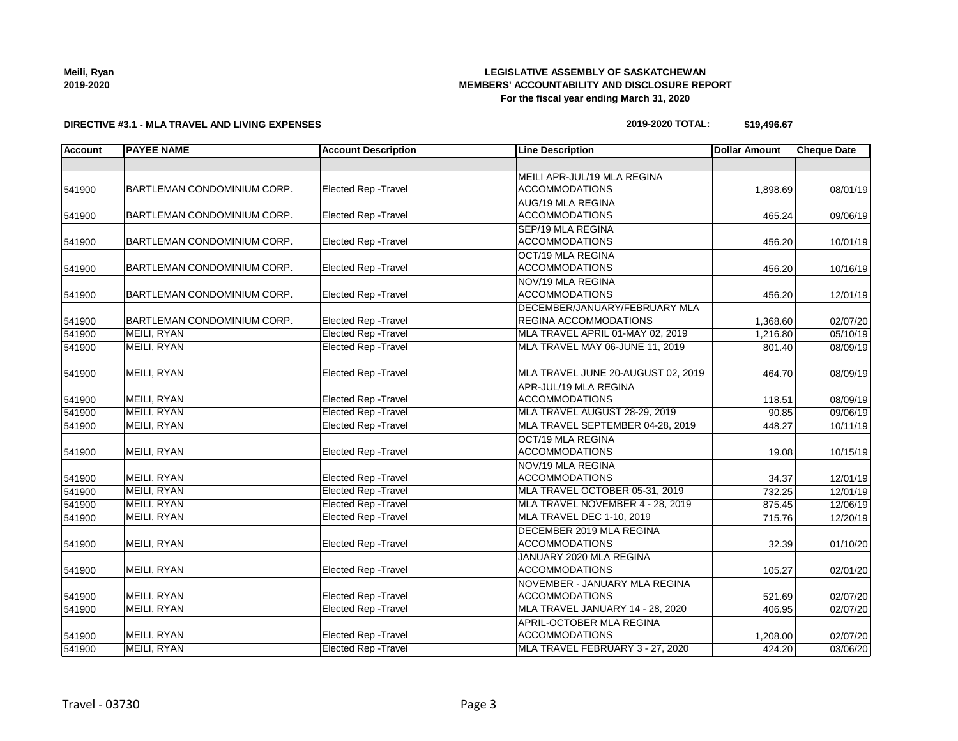| Meili, Ryan |  |
|-------------|--|
| 2019-2020   |  |

### **DIRECTIVE #3.1 - MLA TRAVEL AND LIVING EXPENSES**

### **2019-2020 TOTAL: \$19,496.67**

| <b>Account</b> | <b>PAYEE NAME</b>           | <b>Account Description</b>  | <b>Line Description</b>            | <b>Dollar Amount</b> | <b>Cheque Date</b> |
|----------------|-----------------------------|-----------------------------|------------------------------------|----------------------|--------------------|
|                |                             |                             |                                    |                      |                    |
|                |                             |                             | MEILI APR-JUL/19 MLA REGINA        |                      |                    |
| 541900         | BARTLEMAN CONDOMINIUM CORP. | Elected Rep - Travel        | <b>ACCOMMODATIONS</b>              | 1,898.69             | 08/01/19           |
|                |                             |                             | <b>AUG/19 MLA REGINA</b>           |                      |                    |
| 541900         | BARTLEMAN CONDOMINIUM CORP. | <b>Elected Rep - Travel</b> | <b>ACCOMMODATIONS</b>              | 465.24               | 09/06/19           |
|                |                             |                             | <b>SEP/19 MLA REGINA</b>           |                      |                    |
| 541900         | BARTLEMAN CONDOMINIUM CORP. | Elected Rep - Travel        | <b>ACCOMMODATIONS</b>              | 456.20               | 10/01/19           |
|                |                             |                             | OCT/19 MLA REGINA                  |                      |                    |
| 541900         | BARTLEMAN CONDOMINIUM CORP. | Elected Rep - Travel        | <b>ACCOMMODATIONS</b>              | 456.20               | 10/16/19           |
|                |                             |                             | NOV/19 MLA REGINA                  |                      |                    |
| 541900         | BARTLEMAN CONDOMINIUM CORP. | Elected Rep - Travel        | <b>ACCOMMODATIONS</b>              | 456.20               | 12/01/19           |
|                |                             |                             | DECEMBER/JANUARY/FEBRUARY MLA      |                      |                    |
| 541900         | BARTLEMAN CONDOMINIUM CORP. | Elected Rep - Travel        | REGINA ACCOMMODATIONS              | 1,368.60             | 02/07/20           |
| 541900         | MEILI, RYAN                 | <b>Elected Rep - Travel</b> | MLA TRAVEL APRIL 01-MAY 02, 2019   | 1,216.80             | 05/10/19           |
| 541900         | MEILI, RYAN                 | <b>Elected Rep - Travel</b> | MLA TRAVEL MAY 06-JUNE 11, 2019    | 801.40               | 08/09/19           |
|                |                             |                             |                                    |                      |                    |
| 541900         | MEILI, RYAN                 | Elected Rep - Travel        | MLA TRAVEL JUNE 20-AUGUST 02, 2019 | 464.70               | 08/09/19           |
|                |                             |                             | APR-JUL/19 MLA REGINA              |                      |                    |
| 541900         | MEILI, RYAN                 | Elected Rep - Travel        | <b>ACCOMMODATIONS</b>              | 118.51               | 08/09/19           |
| 541900         | <b>MEILI, RYAN</b>          | <b>Elected Rep - Travel</b> | MLA TRAVEL AUGUST 28-29, 2019      | 90.85                | 09/06/19           |
| 541900         | MEILI, RYAN                 | <b>Elected Rep - Travel</b> | MLA TRAVEL SEPTEMBER 04-28, 2019   | 448.27               | 10/11/19           |
|                |                             |                             | OCT/19 MLA REGINA                  |                      |                    |
| 541900         | MEILI, RYAN                 | Elected Rep - Travel        | <b>ACCOMMODATIONS</b>              | 19.08                | 10/15/19           |
|                |                             |                             | NOV/19 MLA REGINA                  |                      |                    |
| 541900         | MEILI, RYAN                 | Elected Rep - Travel        | <b>ACCOMMODATIONS</b>              | 34.37                | 12/01/19           |
| 541900         | MEILI, RYAN                 | <b>Elected Rep - Travel</b> | MLA TRAVEL OCTOBER 05-31, 2019     | 732.25               | 12/01/19           |
| 541900         | MEILI, RYAN                 | <b>Elected Rep - Travel</b> | MLA TRAVEL NOVEMBER 4 - 28, 2019   | 875.45               | 12/06/19           |
| 541900         | MEILI, RYAN                 | <b>Elected Rep - Travel</b> | MLA TRAVEL DEC 1-10, 2019          | 715.76               | 12/20/19           |
|                |                             |                             | DECEMBER 2019 MLA REGINA           |                      |                    |
| 541900         | MEILI, RYAN                 | Elected Rep - Travel        | <b>ACCOMMODATIONS</b>              | 32.39                | 01/10/20           |
|                |                             |                             | JANUARY 2020 MLA REGINA            |                      |                    |
| 541900         | MEILI, RYAN                 | Elected Rep - Travel        | <b>ACCOMMODATIONS</b>              | 105.27               | 02/01/20           |
|                |                             |                             | NOVEMBER - JANUARY MLA REGINA      |                      |                    |
| 541900         | MEILI, RYAN                 | Elected Rep - Travel        | <b>ACCOMMODATIONS</b>              | 521.69               | 02/07/20           |
| 541900         | MEILI, RYAN                 | <b>Elected Rep - Travel</b> | MLA TRAVEL JANUARY 14 - 28, 2020   | 406.95               | 02/07/20           |
|                |                             |                             | APRIL-OCTOBER MLA REGINA           |                      |                    |
| 541900         | MEILI, RYAN                 | Elected Rep - Travel        | <b>ACCOMMODATIONS</b>              | 1,208.00             | 02/07/20           |
| 541900         | MEILI, RYAN                 | <b>Elected Rep - Travel</b> | MLA TRAVEL FEBRUARY 3 - 27, 2020   | 424.20               | 03/06/20           |

**Meili, Ryan**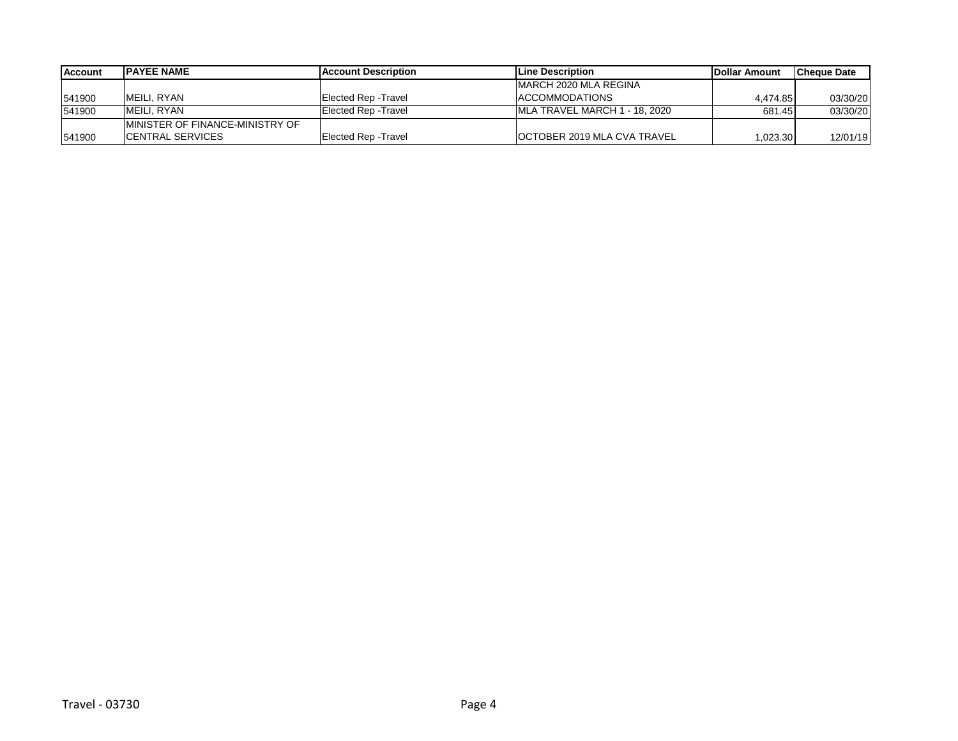| Account | <b>IPAYEE NAME</b>               | <b>IAccount Description</b> | <b>ILine Description</b>            | <b>IDollar Amount</b> | <b>ICheque Date</b> |
|---------|----------------------------------|-----------------------------|-------------------------------------|-----------------------|---------------------|
|         |                                  |                             | <b>IMARCH 2020 MLA REGINA</b>       |                       |                     |
| 541900  | IMEILI. RYAN                     | Elected Rep - Travel        | <b>ACCOMMODATIONS</b>               | 4.474.85              | 03/30/20            |
| 541900  | IMEILI. RYAN                     | Elected Rep - Travel        | IMLA TRAVEL MARCH 1 - 18, 2020      | 681.45                | 03/30/20            |
|         | IMINISTER OF FINANCE-MINISTRY OF |                             |                                     |                       |                     |
| 541900  | <b>ICENTRAL SERVICES</b>         | <b>Elected Rep - Travel</b> | <b>IOCTOBER 2019 MLA CVA TRAVEL</b> | 1,023.30              | 12/01/19            |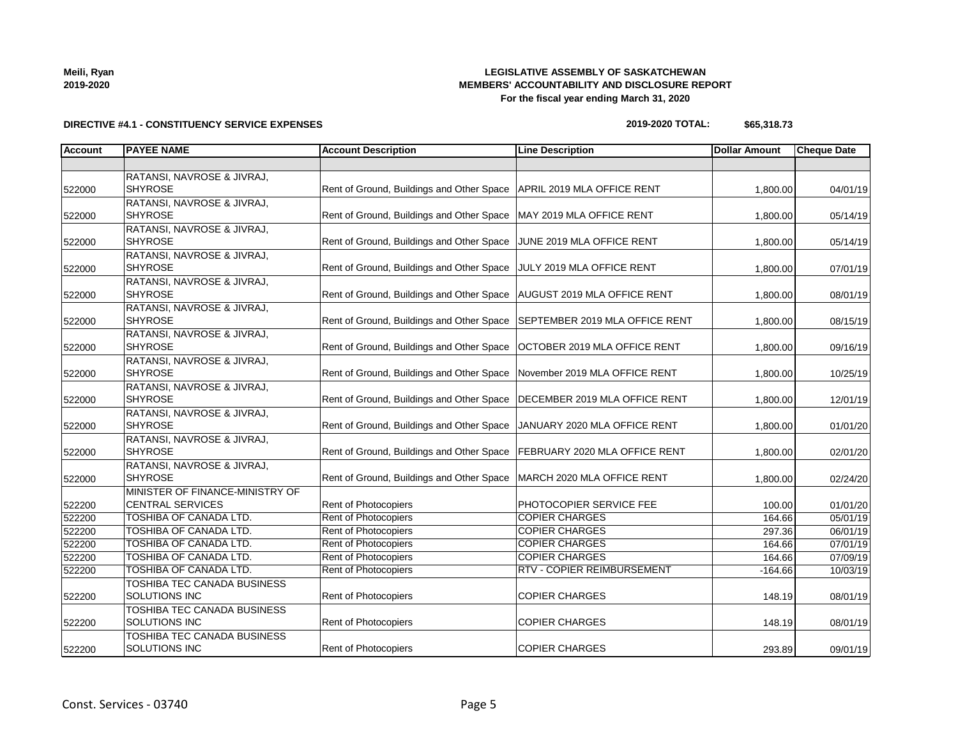| Meili, Ryan |  |
|-------------|--|
| 2019-2020   |  |

## **DIRECTIVE #4.1 - CONSTITUENCY SERVICE EXPENSES**

#### **2019-2020 TOTAL: \$65,318.73**

| Account | <b>PAYEE NAME</b>                  | <b>Account Description</b>                                                | <b>Line Description</b>           | <b>Dollar Amount</b> | <b>Cheque Date</b> |
|---------|------------------------------------|---------------------------------------------------------------------------|-----------------------------------|----------------------|--------------------|
|         |                                    |                                                                           |                                   |                      |                    |
|         | RATANSI, NAVROSE & JIVRAJ,         |                                                                           |                                   |                      |                    |
| 522000  | <b>SHYROSE</b>                     | Rent of Ground, Buildings and Other Space   APRIL 2019 MLA OFFICE RENT    |                                   | 1,800.00             | 04/01/19           |
|         | RATANSI, NAVROSE & JIVRAJ,         |                                                                           |                                   |                      |                    |
| 522000  | <b>SHYROSE</b>                     | Rent of Ground, Buildings and Other Space                                 | MAY 2019 MLA OFFICE RENT          | 1,800.00             | 05/14/19           |
|         | RATANSI, NAVROSE & JIVRAJ,         |                                                                           |                                   |                      |                    |
| 522000  | SHYROSE                            | Rent of Ground, Buildings and Other Space                                 | JUNE 2019 MLA OFFICE RENT         | 1,800.00             | 05/14/19           |
|         | RATANSI, NAVROSE & JIVRAJ,         |                                                                           |                                   |                      |                    |
| 522000  | <b>SHYROSE</b>                     | Rent of Ground, Buildings and Other Space                                 | JULY 2019 MLA OFFICE RENT         | 1,800.00             | 07/01/19           |
|         | RATANSI, NAVROSE & JIVRAJ,         |                                                                           |                                   |                      |                    |
| 522000  | <b>SHYROSE</b>                     | Rent of Ground, Buildings and Other Space   AUGUST 2019 MLA OFFICE RENT   |                                   | 1,800.00             | 08/01/19           |
|         | RATANSI, NAVROSE & JIVRAJ,         |                                                                           |                                   |                      |                    |
| 522000  | <b>SHYROSE</b>                     | Rent of Ground, Buildings and Other Space                                 | SEPTEMBER 2019 MLA OFFICE RENT    | 1,800.00             | 08/15/19           |
|         | RATANSI, NAVROSE & JIVRAJ,         |                                                                           |                                   |                      |                    |
| 522000  | <b>SHYROSE</b>                     | Rent of Ground, Buildings and Other Space                                 | OCTOBER 2019 MLA OFFICE RENT      | 1,800.00             | 09/16/19           |
|         | RATANSI, NAVROSE & JIVRAJ,         |                                                                           |                                   |                      |                    |
| 522000  | <b>SHYROSE</b>                     | Rent of Ground, Buildings and Other Space                                 | November 2019 MLA OFFICE RENT     | 1,800.00             | 10/25/19           |
|         | RATANSI, NAVROSE & JIVRAJ,         |                                                                           |                                   |                      |                    |
| 522000  | <b>SHYROSE</b>                     | Rent of Ground, Buildings and Other Space                                 | DECEMBER 2019 MLA OFFICE RENT     | 1,800.00             | 12/01/19           |
|         | RATANSI, NAVROSE & JIVRAJ,         |                                                                           |                                   |                      |                    |
| 522000  | <b>SHYROSE</b>                     | Rent of Ground, Buildings and Other Space                                 | JANUARY 2020 MLA OFFICE RENT      | 1,800.00             | 01/01/20           |
|         | RATANSI, NAVROSE & JIVRAJ,         |                                                                           |                                   |                      |                    |
| 522000  | <b>SHYROSE</b>                     | Rent of Ground, Buildings and Other Space   FEBRUARY 2020 MLA OFFICE RENT |                                   | 1,800.00             | 02/01/20           |
|         | RATANSI, NAVROSE & JIVRAJ,         |                                                                           |                                   |                      |                    |
| 522000  | <b>SHYROSE</b>                     | Rent of Ground, Buildings and Other Space                                 | MARCH 2020 MLA OFFICE RENT        | 1,800.00             | 02/24/20           |
|         | MINISTER OF FINANCE-MINISTRY OF    |                                                                           |                                   |                      |                    |
| 522200  | <b>CENTRAL SERVICES</b>            | <b>Rent of Photocopiers</b>                                               | PHOTOCOPIER SERVICE FEE           | 100.00               | 01/01/20           |
| 522200  | <b>TOSHIBA OF CANADA LTD.</b>      | <b>Rent of Photocopiers</b>                                               | <b>COPIER CHARGES</b>             | 164.66               | 05/01/19           |
| 522200  | <b>TOSHIBA OF CANADA LTD.</b>      | Rent of Photocopiers                                                      | <b>COPIER CHARGES</b>             | 297.36               | 06/01/19           |
| 522200  | <b>TOSHIBA OF CANADA LTD.</b>      | Rent of Photocopiers                                                      | <b>COPIER CHARGES</b>             | 164.66               | 07/01/19           |
| 522200  | TOSHIBA OF CANADA LTD.             | <b>Rent of Photocopiers</b>                                               | <b>COPIER CHARGES</b>             | 164.66               | 07/09/19           |
| 522200  | TOSHIBA OF CANADA LTD.             | Rent of Photocopiers                                                      | <b>RTV - COPIER REIMBURSEMENT</b> | $-164.66$            | 10/03/19           |
|         | TOSHIBA TEC CANADA BUSINESS        |                                                                           |                                   |                      |                    |
| 522200  | <b>SOLUTIONS INC</b>               | Rent of Photocopiers                                                      | <b>COPIER CHARGES</b>             | 148.19               | 08/01/19           |
|         | <b>TOSHIBA TEC CANADA BUSINESS</b> |                                                                           |                                   |                      |                    |
| 522200  | <b>SOLUTIONS INC</b>               | <b>Rent of Photocopiers</b>                                               | <b>COPIER CHARGES</b>             | 148.19               | 08/01/19           |
|         | TOSHIBA TEC CANADA BUSINESS        |                                                                           |                                   |                      |                    |
| 522200  | <b>SOLUTIONS INC</b>               | Rent of Photocopiers                                                      | <b>COPIER CHARGES</b>             | 293.89               | 09/01/19           |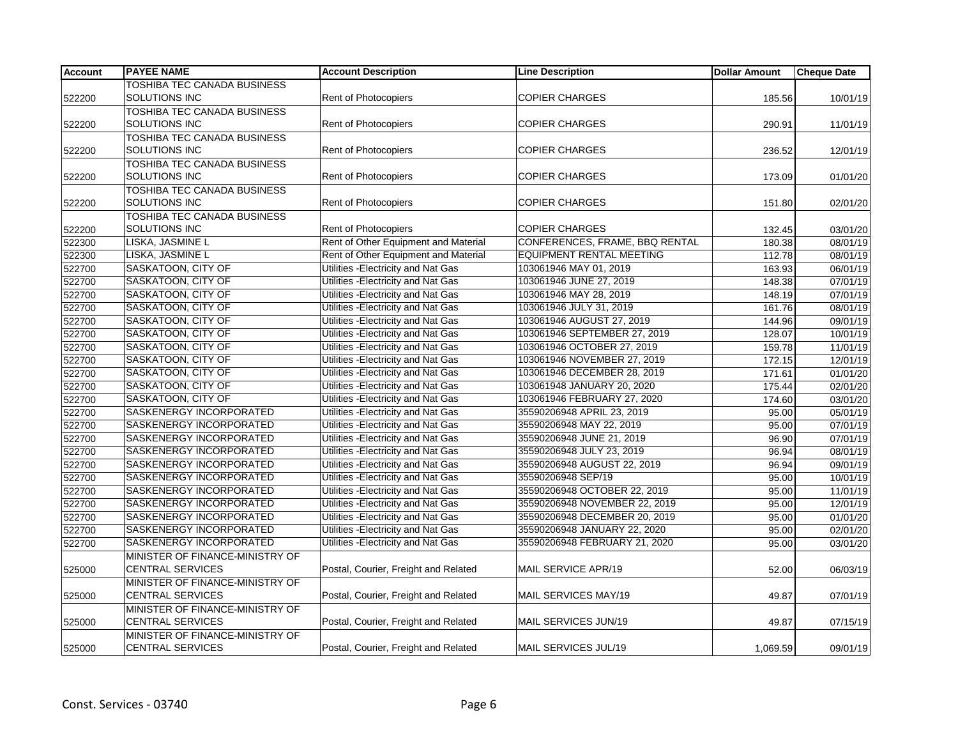| <b>Account</b> | <b>PAYEE NAME</b>                  | <b>Account Description</b>           | <b>Line Description</b>         | <b>Dollar Amount</b> | <b>Cheque Date</b>    |
|----------------|------------------------------------|--------------------------------------|---------------------------------|----------------------|-----------------------|
|                | TOSHIBA TEC CANADA BUSINESS        |                                      |                                 |                      |                       |
| 522200         | SOLUTIONS INC                      | Rent of Photocopiers                 | <b>COPIER CHARGES</b>           | 185.56               | 10/01/19              |
|                | TOSHIBA TEC CANADA BUSINESS        |                                      |                                 |                      |                       |
| 522200         | <b>SOLUTIONS INC</b>               | <b>Rent of Photocopiers</b>          | <b>COPIER CHARGES</b>           | 290.91               | 11/01/19              |
|                | TOSHIBA TEC CANADA BUSINESS        |                                      |                                 |                      |                       |
| 522200         | <b>SOLUTIONS INC</b>               | Rent of Photocopiers                 | <b>COPIER CHARGES</b>           | 236.52               | 12/01/19              |
|                | <b>TOSHIBA TEC CANADA BUSINESS</b> |                                      |                                 |                      |                       |
| 522200         | <b>SOLUTIONS INC</b>               | Rent of Photocopiers                 | <b>COPIER CHARGES</b>           | 173.09               | 01/01/20              |
|                | <b>TOSHIBA TEC CANADA BUSINESS</b> |                                      |                                 |                      |                       |
| 522200         | SOLUTIONS INC                      | Rent of Photocopiers                 | <b>COPIER CHARGES</b>           | 151.80               | 02/01/20              |
|                | TOSHIBA TEC CANADA BUSINESS        |                                      |                                 |                      |                       |
| 522200         | <b>SOLUTIONS INC</b>               | <b>Rent of Photocopiers</b>          | <b>COPIER CHARGES</b>           | 132.45               | 03/01/20              |
| 522300         | LISKA, JASMINE L                   | Rent of Other Equipment and Material | CONFERENCES, FRAME, BBQ RENTAL  | 180.38               | 08/01/19              |
| 522300         | LISKA, JASMINE L                   | Rent of Other Equipment and Material | <b>EQUIPMENT RENTAL MEETING</b> | 112.78               | 08/01/19              |
| 522700         | SASKATOON, CITY OF                 | Utilities - Electricity and Nat Gas  | 103061946 MAY 01, 2019          | 163.93               | 06/01/19              |
| 522700         | <b>SASKATOON, CITY OF</b>          | Utilities - Electricity and Nat Gas  | 103061946 JUNE 27, 2019         | 148.38               | 07/01/19              |
| 522700         | SASKATOON, CITY OF                 | Utilities - Electricity and Nat Gas  | 103061946 MAY 28, 2019          | 148.19               | 07/01/19              |
| 522700         | <b>SASKATOON, CITY OF</b>          | Utilities - Electricity and Nat Gas  | 103061946 JULY 31, 2019         | 161.76               | 08/01/19              |
| 522700         | <b>SASKATOON, CITY OF</b>          | Utilities - Electricity and Nat Gas  | 103061946 AUGUST 27, 2019       | 144.96               | 09/01/19              |
| 522700         | SASKATOON, CITY OF                 | Utilities - Electricity and Nat Gas  | 103061946 SEPTEMBER 27, 2019    | 128.07               | 10/01/19              |
| 522700         | <b>SASKATOON, CITY OF</b>          | Utilities - Electricity and Nat Gas  | 103061946 OCTOBER 27, 2019      | 159.78               | 11/01/19              |
| 522700         | <b>SASKATOON, CITY OF</b>          | Utilities - Electricity and Nat Gas  | 103061946 NOVEMBER 27, 2019     | 172.15               | 12/01/19              |
| 522700         | SASKATOON, CITY OF                 | Utilities - Electricity and Nat Gas  | 103061946 DECEMBER 28, 2019     | 171.61               | 01/01/20              |
| 522700         | <b>SASKATOON, CITY OF</b>          | Utilities - Electricity and Nat Gas  | 103061948 JANUARY 20, 2020      | 175.44               | 02/01/20              |
| 522700         | SASKATOON, CITY OF                 | Utilities - Electricity and Nat Gas  | 103061946 FEBRUARY 27, 2020     | 174.60               | 03/01/20              |
| 522700         | SASKENERGY INCORPORATED            | Utilities - Electricity and Nat Gas  | 35590206948 APRIL 23, 2019      | 95.00                | 05/01/19              |
| 522700         | <b>SASKENERGY INCORPORATED</b>     | Utilities - Electricity and Nat Gas  | 35590206948 MAY 22, 2019        | 95.00                | $\overline{07/01/19}$ |
| 522700         | SASKENERGY INCORPORATED            | Utilities - Electricity and Nat Gas  | 35590206948 JUNE 21, 2019       | 96.90                | 07/01/19              |
| 522700         | <b>SASKENERGY INCORPORATED</b>     | Utilities - Electricity and Nat Gas  | 35590206948 JULY 23, 2019       | 96.94                | 08/01/19              |
| 522700         | SASKENERGY INCORPORATED            | Utilities - Electricity and Nat Gas  | 35590206948 AUGUST 22, 2019     | 96.94                | $\overline{09/01/19}$ |
| 522700         | SASKENERGY INCORPORATED            | Utilities - Electricity and Nat Gas  | 35590206948 SEP/19              | 95.00                | 10/01/19              |
| 522700         | <b>SASKENERGY INCORPORATED</b>     | Utilities - Electricity and Nat Gas  | 35590206948 OCTOBER 22, 2019    | 95.00                | 11/01/19              |
| 522700         | SASKENERGY INCORPORATED            | Utilities - Electricity and Nat Gas  | 35590206948 NOVEMBER 22, 2019   | 95.00                | 12/01/19              |
| 522700         | SASKENERGY INCORPORATED            | Utilities - Electricity and Nat Gas  | 35590206948 DECEMBER 20, 2019   | 95.00                | 01/01/20              |
| 522700         | SASKENERGY INCORPORATED            | Utilities - Electricity and Nat Gas  | 35590206948 JANUARY 22, 2020    | 95.00                | 02/01/20              |
| 522700         | SASKENERGY INCORPORATED            | Utilities - Electricity and Nat Gas  | 35590206948 FEBRUARY 21, 2020   | 95.00                | 03/01/20              |
|                | MINISTER OF FINANCE-MINISTRY OF    |                                      |                                 |                      |                       |
| 525000         | <b>CENTRAL SERVICES</b>            | Postal, Courier, Freight and Related | MAIL SERVICE APR/19             | 52.00                | 06/03/19              |
|                | MINISTER OF FINANCE-MINISTRY OF    |                                      |                                 |                      |                       |
| 525000         | <b>CENTRAL SERVICES</b>            | Postal, Courier, Freight and Related | MAIL SERVICES MAY/19            | 49.87                | 07/01/19              |
|                | MINISTER OF FINANCE-MINISTRY OF    |                                      |                                 |                      |                       |
| 525000         | <b>CENTRAL SERVICES</b>            | Postal, Courier, Freight and Related | MAIL SERVICES JUN/19            | 49.87                | 07/15/19              |
|                | MINISTER OF FINANCE-MINISTRY OF    |                                      |                                 |                      |                       |
| 525000         | <b>CENTRAL SERVICES</b>            | Postal, Courier, Freight and Related | MAIL SERVICES JUL/19            | 1,069.59             | 09/01/19              |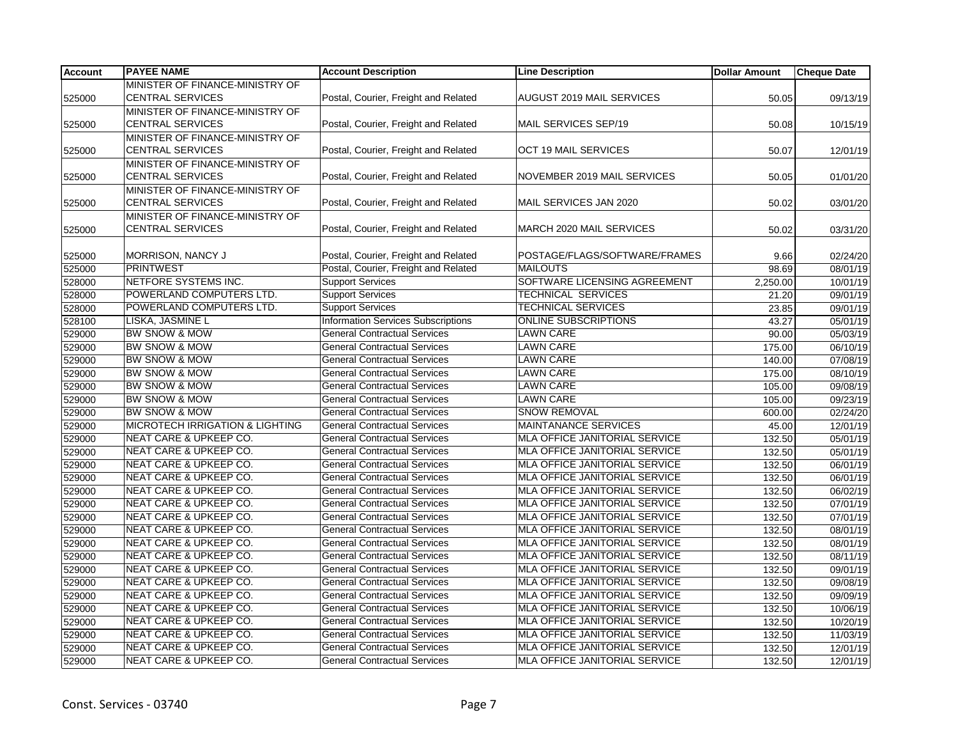| <b>Account</b> | <b>PAYEE NAME</b>                          | <b>Account Description</b>                | <b>Line Description</b>              | <b>Dollar Amount</b> | <b>Cheque Date</b> |
|----------------|--------------------------------------------|-------------------------------------------|--------------------------------------|----------------------|--------------------|
|                | MINISTER OF FINANCE-MINISTRY OF            |                                           |                                      |                      |                    |
| 525000         | <b>CENTRAL SERVICES</b>                    | Postal, Courier, Freight and Related      | <b>AUGUST 2019 MAIL SERVICES</b>     | 50.05                | 09/13/19           |
|                | MINISTER OF FINANCE-MINISTRY OF            |                                           |                                      |                      |                    |
| 525000         | <b>CENTRAL SERVICES</b>                    | Postal, Courier, Freight and Related      | MAIL SERVICES SEP/19                 | 50.08                | 10/15/19           |
|                | MINISTER OF FINANCE-MINISTRY OF            |                                           |                                      |                      |                    |
| 525000         | <b>CENTRAL SERVICES</b>                    | Postal, Courier, Freight and Related      | OCT 19 MAIL SERVICES                 | 50.07                | 12/01/19           |
|                | MINISTER OF FINANCE-MINISTRY OF            |                                           |                                      |                      |                    |
| 525000         | <b>CENTRAL SERVICES</b>                    | Postal, Courier, Freight and Related      | NOVEMBER 2019 MAIL SERVICES          | 50.05                | 01/01/20           |
|                | MINISTER OF FINANCE-MINISTRY OF            |                                           |                                      |                      |                    |
| 525000         | <b>CENTRAL SERVICES</b>                    | Postal, Courier, Freight and Related      | MAIL SERVICES JAN 2020               | 50.02                | 03/01/20           |
|                | MINISTER OF FINANCE-MINISTRY OF            |                                           |                                      |                      |                    |
| 525000         | <b>CENTRAL SERVICES</b>                    | Postal, Courier, Freight and Related      | MARCH 2020 MAIL SERVICES             | 50.02                | 03/31/20           |
|                |                                            |                                           |                                      |                      |                    |
| 525000         | MORRISON, NANCY J                          | Postal, Courier, Freight and Related      | POSTAGE/FLAGS/SOFTWARE/FRAMES        | 9.66                 | 02/24/20           |
| 525000         | <b>PRINTWEST</b>                           | Postal, Courier, Freight and Related      | <b>MAILOUTS</b>                      | 98.69                | 08/01/19           |
| 528000         | NETFORE SYSTEMS INC.                       | <b>Support Services</b>                   | SOFTWARE LICENSING AGREEMENT         | 2,250.00             | 10/01/19           |
| 528000         | POWERLAND COMPUTERS LTD.                   | <b>Support Services</b>                   | TECHNICAL SERVICES                   | 21.20                | 09/01/19           |
| 528000         | POWERLAND COMPUTERS LTD.                   | <b>Support Services</b>                   | TECHNICAL SERVICES                   | 23.85                | 09/01/19           |
| 528100         | LISKA, JASMINE L                           | <b>Information Services Subscriptions</b> | <b>ONLINE SUBSCRIPTIONS</b>          | 43.27                | 05/01/19           |
| 529000         | BW SNOW & MOW                              | <b>General Contractual Services</b>       | <b>LAWN CARE</b>                     | 90.00                | 05/03/19           |
| 529000         | <b>BW SNOW &amp; MOW</b>                   | <b>General Contractual Services</b>       | <b>LAWN CARE</b>                     | 175.00               | 06/10/19           |
| 529000         | <b>BW SNOW &amp; MOW</b>                   | <b>General Contractual Services</b>       | <b>LAWN CARE</b>                     | 140.00               | 07/08/19           |
| 529000         | <b>BW SNOW &amp; MOW</b>                   | <b>General Contractual Services</b>       | <b>LAWN CARE</b>                     | 175.00               | 08/10/19           |
| 529000         | BW SNOW & MOW                              | <b>General Contractual Services</b>       | <b>LAWN CARE</b>                     | 105.00               | 09/08/19           |
| 529000         | BW SNOW & MOW                              | <b>General Contractual Services</b>       | <b>LAWN CARE</b>                     | 105.00               | 09/23/19           |
| 529000         | BW SNOW & MOW                              | <b>General Contractual Services</b>       | <b>SNOW REMOVAL</b>                  | 600.00               | 02/24/20           |
| 529000         | <b>MICROTECH IRRIGATION &amp; LIGHTING</b> | <b>General Contractual Services</b>       | <b>MAINTANANCE SERVICES</b>          | 45.00                | 12/01/19           |
| 529000         | <b>NEAT CARE &amp; UPKEEP CO.</b>          | <b>General Contractual Services</b>       | MLA OFFICE JANITORIAL SERVICE        | 132.50               | 05/01/19           |
| 529000         | NEAT CARE & UPKEEP CO.                     | <b>General Contractual Services</b>       | MLA OFFICE JANITORIAL SERVICE        | 132.50               | 05/01/19           |
| 529000         | NEAT CARE & UPKEEP CO.                     | <b>General Contractual Services</b>       | MLA OFFICE JANITORIAL SERVICE        | 132.50               | 06/01/19           |
| 529000         | <b>NEAT CARE &amp; UPKEEP CO.</b>          | <b>General Contractual Services</b>       | MLA OFFICE JANITORIAL SERVICE        | 132.50               | 06/01/19           |
| 529000         | <b>NEAT CARE &amp; UPKEEP CO.</b>          | <b>General Contractual Services</b>       | MLA OFFICE JANITORIAL SERVICE        | 132.50               | 06/02/19           |
| 529000         | <b>NEAT CARE &amp; UPKEEP CO.</b>          | <b>General Contractual Services</b>       | MLA OFFICE JANITORIAL SERVICE        | 132.50               | 07/01/19           |
| 529000         | <b>NEAT CARE &amp; UPKEEP CO.</b>          | <b>General Contractual Services</b>       | MLA OFFICE JANITORIAL SERVICE        | 132.50               | 07/01/19           |
| 529000         | <b>NEAT CARE &amp; UPKEEP CO.</b>          | <b>General Contractual Services</b>       | MLA OFFICE JANITORIAL SERVICE        | 132.50               | 08/01/19           |
| 529000         | <b>NEAT CARE &amp; UPKEEP CO.</b>          | <b>General Contractual Services</b>       | MLA OFFICE JANITORIAL SERVICE        | 132.50               | 08/01/19           |
| 529000         | <b>NEAT CARE &amp; UPKEEP CO.</b>          | <b>General Contractual Services</b>       | <b>MLA OFFICE JANITORIAL SERVICE</b> | 132.50               | 08/11/19           |
| 529000         | <b>NEAT CARE &amp; UPKEEP CO.</b>          | <b>General Contractual Services</b>       | MLA OFFICE JANITORIAL SERVICE        | 132.50               | 09/01/19           |
| 529000         | NEAT CARE & UPKEEP CO.                     | <b>General Contractual Services</b>       | MLA OFFICE JANITORIAL SERVICE        | 132.50               | 09/08/19           |
| 529000         | <b>NEAT CARE &amp; UPKEEP CO.</b>          | <b>General Contractual Services</b>       | MLA OFFICE JANITORIAL SERVICE        | 132.50               | 09/09/19           |
| 529000         | <b>NEAT CARE &amp; UPKEEP CO.</b>          | <b>General Contractual Services</b>       | MLA OFFICE JANITORIAL SERVICE        | 132.50               | 10/06/19           |
| 529000         | <b>NEAT CARE &amp; UPKEEP CO.</b>          | <b>General Contractual Services</b>       | MLA OFFICE JANITORIAL SERVICE        | 132.50               | 10/20/19           |
| 529000         | <b>NEAT CARE &amp; UPKEEP CO.</b>          | <b>General Contractual Services</b>       | MLA OFFICE JANITORIAL SERVICE        | 132.50               | 11/03/19           |
| 529000         | NEAT CARE & UPKEEP CO.                     | <b>General Contractual Services</b>       | MLA OFFICE JANITORIAL SERVICE        | 132.50               | 12/01/19           |
| 529000         | NEAT CARE & UPKEEP CO.                     | <b>General Contractual Services</b>       | MLA OFFICE JANITORIAL SERVICE        | 132.50               | 12/01/19           |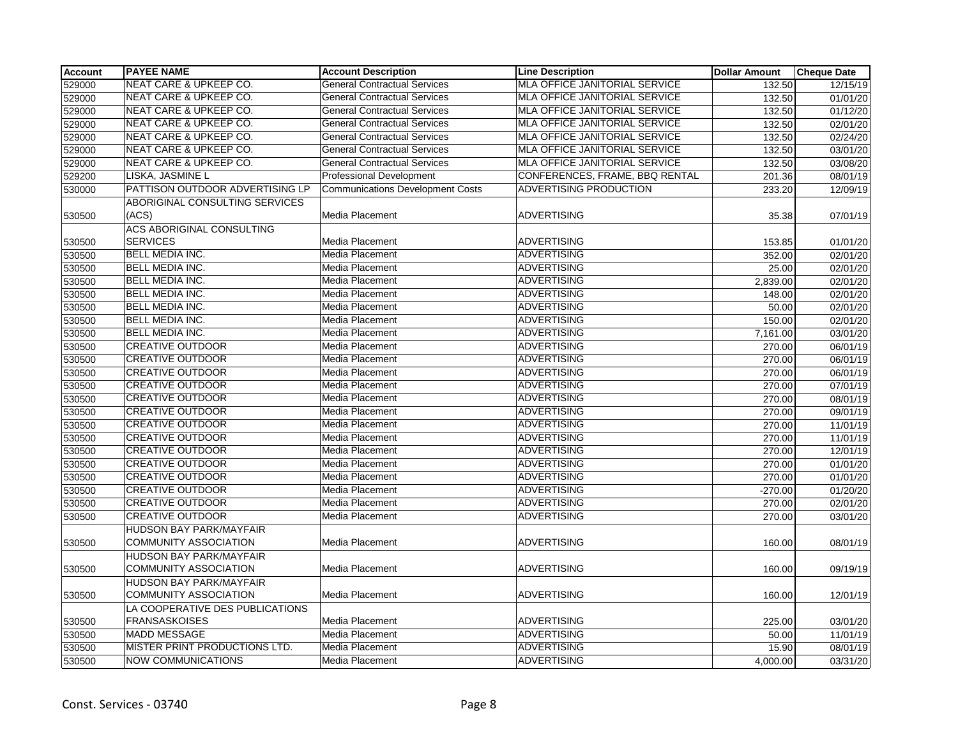| <b>Account</b> | <b>PAYEE NAME</b>                 | <b>Account Description</b>              | <b>Line Description</b>              | <b>Dollar Amount</b> | <b>Cheque Date</b>    |
|----------------|-----------------------------------|-----------------------------------------|--------------------------------------|----------------------|-----------------------|
| 529000         | NEAT CARE & UPKEEP CO.            | <b>General Contractual Services</b>     | <b>MLA OFFICE JANITORIAL SERVICE</b> | 132.50               | 12/15/19              |
| 529000         | <b>NEAT CARE &amp; UPKEEP CO.</b> | <b>General Contractual Services</b>     | <b>MLA OFFICE JANITORIAL SERVICE</b> | 132.50               | 01/01/20              |
| 529000         | <b>NEAT CARE &amp; UPKEEP CO.</b> | <b>General Contractual Services</b>     | MLA OFFICE JANITORIAL SERVICE        | 132.50               | 01/12/20              |
| 529000         | <b>NEAT CARE &amp; UPKEEP CO.</b> | <b>General Contractual Services</b>     | MLA OFFICE JANITORIAL SERVICE        | 132.50               | $\overline{02/01/20}$ |
| 529000         | NEAT CARE & UPKEEP CO.            | <b>General Contractual Services</b>     | MLA OFFICE JANITORIAL SERVICE        | 132.50               | 02/24/20              |
| 529000         | NEAT CARE & UPKEEP CO.            | <b>General Contractual Services</b>     | MLA OFFICE JANITORIAL SERVICE        | 132.50               | 03/01/20              |
| 529000         | NEAT CARE & UPKEEP CO.            | <b>General Contractual Services</b>     | MLA OFFICE JANITORIAL SERVICE        | 132.50               | 03/08/20              |
| 529200         | LISKA, JASMINE L                  | Professional Development                | CONFERENCES, FRAME, BBQ RENTAL       | 201.36               | 08/01/19              |
| 530000         | PATTISON OUTDOOR ADVERTISING LP   | <b>Communications Development Costs</b> | <b>ADVERTISING PRODUCTION</b>        | 233.20               | 12/09/19              |
|                | ABORIGINAL CONSULTING SERVICES    |                                         |                                      |                      |                       |
| 530500         | (ACS)                             | Media Placement                         | <b>ADVERTISING</b>                   | 35.38                | 07/01/19              |
|                | <b>ACS ABORIGINAL CONSULTING</b>  |                                         |                                      |                      |                       |
| 530500         | <b>SERVICES</b>                   | Media Placement                         | <b>ADVERTISING</b>                   | 153.85               | 01/01/20              |
| 530500         | <b>BELL MEDIA INC.</b>            | Media Placement                         | <b>ADVERTISING</b>                   | 352.00               | $\overline{02}/01/20$ |
| 530500         | <b>BELL MEDIA INC.</b>            | Media Placement                         | <b>ADVERTISING</b>                   | 25.00                | 02/01/20              |
| 530500         | <b>BELL MEDIA INC.</b>            | Media Placement                         | <b>ADVERTISING</b>                   | 2,839.00             | 02/01/20              |
| 530500         | <b>BELL MEDIA INC.</b>            | Media Placement                         | <b>ADVERTISING</b>                   | 148.00               | 02/01/20              |
| 530500         | <b>BELL MEDIA INC.</b>            | Media Placement                         | <b>ADVERTISING</b>                   | 50.00                | 02/01/20              |
| 530500         | <b>BELL MEDIA INC.</b>            | Media Placement                         | <b>ADVERTISING</b>                   | 150.00               | 02/01/20              |
| 530500         | <b>BELL MEDIA INC.</b>            | Media Placement                         | <b>ADVERTISING</b>                   | 7,161.00             | 03/01/20              |
| 530500         | <b>CREATIVE OUTDOOR</b>           | Media Placement                         | <b>ADVERTISING</b>                   | 270.00               | 06/01/19              |
| 530500         | <b>CREATIVE OUTDOOR</b>           | Media Placement                         | <b>ADVERTISING</b>                   | 270.00               | 06/01/19              |
| 530500         | <b>CREATIVE OUTDOOR</b>           | Media Placement                         | <b>ADVERTISING</b>                   | 270.00               | 06/01/19              |
| 530500         | <b>CREATIVE OUTDOOR</b>           | Media Placement                         | <b>ADVERTISING</b>                   | 270.00               | 07/01/19              |
| 530500         | <b>CREATIVE OUTDOOR</b>           | Media Placement                         | <b>ADVERTISING</b>                   | 270.00               | 08/01/19              |
| 530500         | <b>CREATIVE OUTDOOR</b>           | Media Placement                         | <b>ADVERTISING</b>                   | 270.00               | 09/01/19              |
| 530500         | <b>CREATIVE OUTDOOR</b>           | Media Placement                         | <b>ADVERTISING</b>                   | 270.00               | 11/01/19              |
| 530500         | <b>CREATIVE OUTDOOR</b>           | Media Placement                         | <b>ADVERTISING</b>                   | 270.00               | 11/01/19              |
| 530500         | <b>CREATIVE OUTDOOR</b>           | Media Placement                         | <b>ADVERTISING</b>                   | 270.00               | 12/01/19              |
| 530500         | <b>CREATIVE OUTDOOR</b>           | Media Placement                         | <b>ADVERTISING</b>                   | 270.00               | 01/01/20              |
| 530500         | <b>CREATIVE OUTDOOR</b>           | Media Placement                         | <b>ADVERTISING</b>                   | 270.00               | 01/01/20              |
| 530500         | <b>CREATIVE OUTDOOR</b>           | Media Placement                         | <b>ADVERTISING</b>                   | $-270.00$            | 01/20/20              |
| 530500         | <b>CREATIVE OUTDOOR</b>           | Media Placement                         | <b>ADVERTISING</b>                   | 270.00               | 02/01/20              |
| 530500         | <b>CREATIVE OUTDOOR</b>           | Media Placement                         | <b>ADVERTISING</b>                   | 270.00               | 03/01/20              |
|                | <b>HUDSON BAY PARK/MAYFAIR</b>    |                                         |                                      |                      |                       |
| 530500         | <b>COMMUNITY ASSOCIATION</b>      | Media Placement                         | <b>ADVERTISING</b>                   | 160.00               | 08/01/19              |
|                | <b>HUDSON BAY PARK/MAYFAIR</b>    |                                         |                                      |                      |                       |
| 530500         | <b>COMMUNITY ASSOCIATION</b>      | Media Placement                         | <b>ADVERTISING</b>                   | 160.00               | 09/19/19              |
|                | <b>HUDSON BAY PARK/MAYFAIR</b>    |                                         |                                      |                      |                       |
| 530500         | <b>COMMUNITY ASSOCIATION</b>      | Media Placement                         | <b>ADVERTISING</b>                   | 160.00               | 12/01/19              |
|                | LA COOPERATIVE DES PUBLICATIONS   |                                         |                                      |                      |                       |
| 530500         | <b>FRANSASKOISES</b>              | Media Placement                         | <b>ADVERTISING</b>                   | 225.00               | 03/01/20              |
| 530500         | <b>MADD MESSAGE</b>               | Media Placement                         | <b>ADVERTISING</b>                   | 50.00                | 11/01/19              |
| 530500         | MISTER PRINT PRODUCTIONS LTD.     | Media Placement                         | <b>ADVERTISING</b>                   | 15.90                | 08/01/19              |
| 530500         | <b>NOW COMMUNICATIONS</b>         | Media Placement                         | <b>ADVERTISING</b>                   | 4,000.00             | 03/31/20              |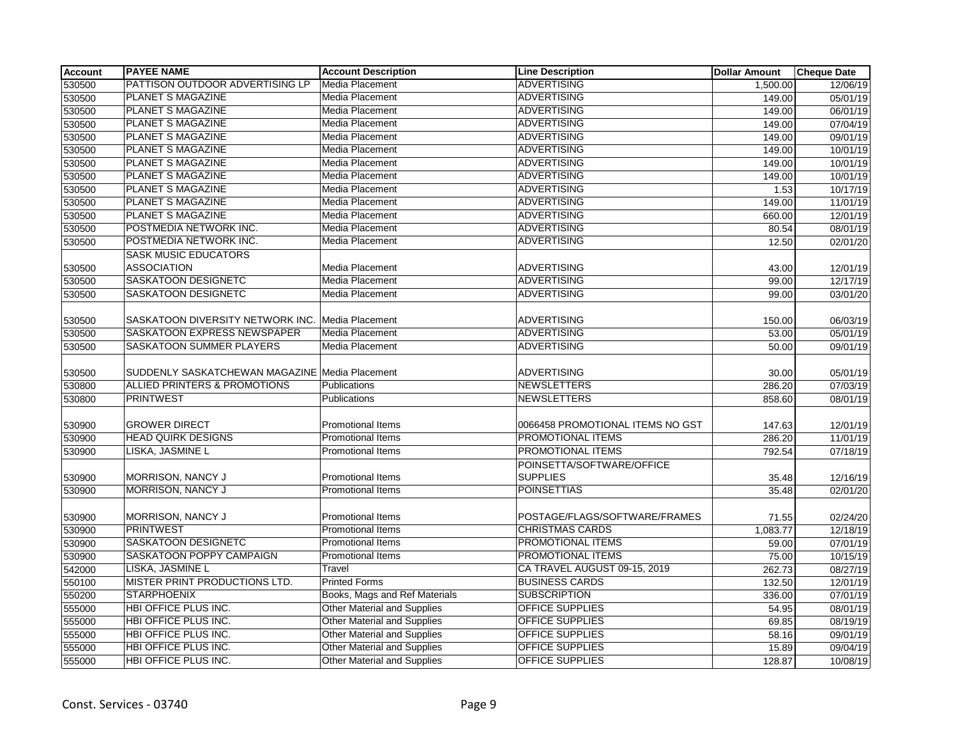| <b>Account</b> | <b>PAYEE NAME</b>                              | <b>Account Description</b>         | <b>Line Description</b>          | <b>Dollar Amount</b> | <b>Cheque Date</b> |
|----------------|------------------------------------------------|------------------------------------|----------------------------------|----------------------|--------------------|
| 530500         | PATTISON OUTDOOR ADVERTISING LP                | Media Placement                    | <b>ADVERTISING</b>               | 1,500.00             | 12/06/19           |
| 530500         | <b>PLANET S MAGAZINE</b>                       | Media Placement                    | <b>ADVERTISING</b>               | 149.00               | 05/01/19           |
| 530500         | PLANET S MAGAZINE                              | Media Placement                    | <b>ADVERTISING</b>               | 149.00               | 06/01/19           |
| 530500         | PLANET S MAGAZINE                              | Media Placement                    | <b>ADVERTISING</b>               | 149.00               | 07/04/19           |
| 530500         | <b>PLANET S MAGAZINE</b>                       | Media Placement                    | <b>ADVERTISING</b>               | 149.00               | 09/01/19           |
| 530500         | <b>PLANET S MAGAZINE</b>                       | Media Placement                    | <b>ADVERTISING</b>               | 149.00               | 10/01/19           |
| 530500         | <b>PLANET S MAGAZINE</b>                       | Media Placement                    | <b>ADVERTISING</b>               | 149.00               | 10/01/19           |
| 530500         | PLANET S MAGAZINE                              | Media Placement                    | <b>ADVERTISING</b>               | 149.00               | 10/01/19           |
| 530500         | PLANET S MAGAZINE                              | Media Placement                    | <b>ADVERTISING</b>               | 1.53                 | 10/17/19           |
| 530500         | PLANET S MAGAZINE                              | Media Placement                    | <b>ADVERTISING</b>               | 149.00               | 11/01/19           |
| 530500         | PLANET S MAGAZINE                              | Media Placement                    | <b>ADVERTISING</b>               | 660.00               | 12/01/19           |
| 530500         | POSTMEDIA NETWORK INC.                         | Media Placement                    | <b>ADVERTISING</b>               | 80.54                | 08/01/19           |
| 530500         | POSTMEDIA NETWORK INC.                         | Media Placement                    | <b>ADVERTISING</b>               | 12.50                | 02/01/20           |
|                | <b>SASK MUSIC EDUCATORS</b>                    |                                    |                                  |                      |                    |
| 530500         | <b>ASSOCIATION</b>                             | Media Placement                    | <b>ADVERTISING</b>               | 43.00                | 12/01/19           |
| 530500         | SASKATOON DESIGNETC                            | Media Placement                    | <b>ADVERTISING</b>               | 99.00                | 12/17/19           |
| 530500         | SASKATOON DESIGNETC                            | Media Placement                    | <b>ADVERTISING</b>               | 99.00                | 03/01/20           |
|                |                                                |                                    |                                  |                      |                    |
| 530500         | SASKATOON DIVERSITY NETWORK INC.               | Media Placement                    | ADVERTISING                      | 150.00               | 06/03/19           |
| 530500         | SASKATOON EXPRESS NEWSPAPER                    | Media Placement                    | <b>ADVERTISING</b>               | 53.00                | 05/01/19           |
| 530500         | SASKATOON SUMMER PLAYERS                       | Media Placement                    | <b>ADVERTISING</b>               | 50.00                | 09/01/19           |
|                |                                                |                                    |                                  |                      |                    |
| 530500         | SUDDENLY SASKATCHEWAN MAGAZINE Media Placement |                                    | <b>ADVERTISING</b>               | 30.00                | 05/01/19           |
| 530800         | <b>ALLIED PRINTERS &amp; PROMOTIONS</b>        | Publications                       | <b>NEWSLETTERS</b>               | 286.20               | 07/03/19           |
| 530800         | <b>PRINTWEST</b>                               | Publications                       | <b>NEWSLETTERS</b>               | 858.60               | 08/01/19           |
|                |                                                |                                    |                                  |                      |                    |
| 530900         | <b>GROWER DIRECT</b>                           | Promotional Items                  | 0066458 PROMOTIONAL ITEMS NO GST | 147.63               | 12/01/19           |
| 530900         | <b>HEAD QUIRK DESIGNS</b>                      | <b>Promotional Items</b>           | PROMOTIONAL ITEMS                | 286.20               | 11/01/19           |
| 530900         | LISKA, JASMINE L                               | <b>Promotional Items</b>           | PROMOTIONAL ITEMS                | 792.54               | 07/18/19           |
|                |                                                |                                    | POINSETTA/SOFTWARE/OFFICE        |                      |                    |
| 530900         | MORRISON, NANCY J                              | Promotional Items                  | <b>SUPPLIES</b>                  | 35.48                | 12/16/19           |
| 530900         | <b>MORRISON, NANCY J</b>                       | <b>Promotional Items</b>           | <b>POINSETTIAS</b>               | 35.48                | 02/01/20           |
|                |                                                |                                    |                                  |                      |                    |
| 530900         | MORRISON, NANCY J                              | Promotional Items                  | POSTAGE/FLAGS/SOFTWARE/FRAMES    | 71.55                | 02/24/20           |
| 530900         | <b>PRINTWEST</b>                               | Promotional Items                  | <b>CHRISTMAS CARDS</b>           | 1,083.77             | 12/18/19           |
| 530900         | SASKATOON DESIGNETC                            | <b>Promotional Items</b>           | PROMOTIONAL ITEMS                | 59.00                | 07/01/19           |
| 530900         | SASKATOON POPPY CAMPAIGN                       | <b>Promotional Items</b>           | PROMOTIONAL ITEMS                | 75.00                | 10/15/19           |
| 542000         | LISKA, JASMINE L                               | Travel                             | CA TRAVEL AUGUST 09-15, 2019     | 262.73               | 08/27/19           |
| 550100         | MISTER PRINT PRODUCTIONS LTD.                  | <b>Printed Forms</b>               | <b>BUSINESS CARDS</b>            | 132.50               | 12/01/19           |
| 550200         | <b>STARPHOENIX</b>                             | Books, Mags and Ref Materials      | <b>SUBSCRIPTION</b>              | 336.00               | 07/01/19           |
| 555000         | <b>HBI OFFICE PLUS INC.</b>                    | <b>Other Material and Supplies</b> | <b>OFFICE SUPPLIES</b>           | 54.95                | 08/01/19           |
| 555000         | <b>HBI OFFICE PLUS INC.</b>                    | <b>Other Material and Supplies</b> | <b>OFFICE SUPPLIES</b>           | 69.85                | 08/19/19           |
| 555000         | HBI OFFICE PLUS INC.                           | <b>Other Material and Supplies</b> | <b>OFFICE SUPPLIES</b>           | 58.16                | 09/01/19           |
| 555000         | HBI OFFICE PLUS INC.                           | <b>Other Material and Supplies</b> | <b>OFFICE SUPPLIES</b>           | 15.89                | 09/04/19           |
| 555000         | HBI OFFICE PLUS INC.                           | <b>Other Material and Supplies</b> | <b>OFFICE SUPPLIES</b>           | 128.87               | 10/08/19           |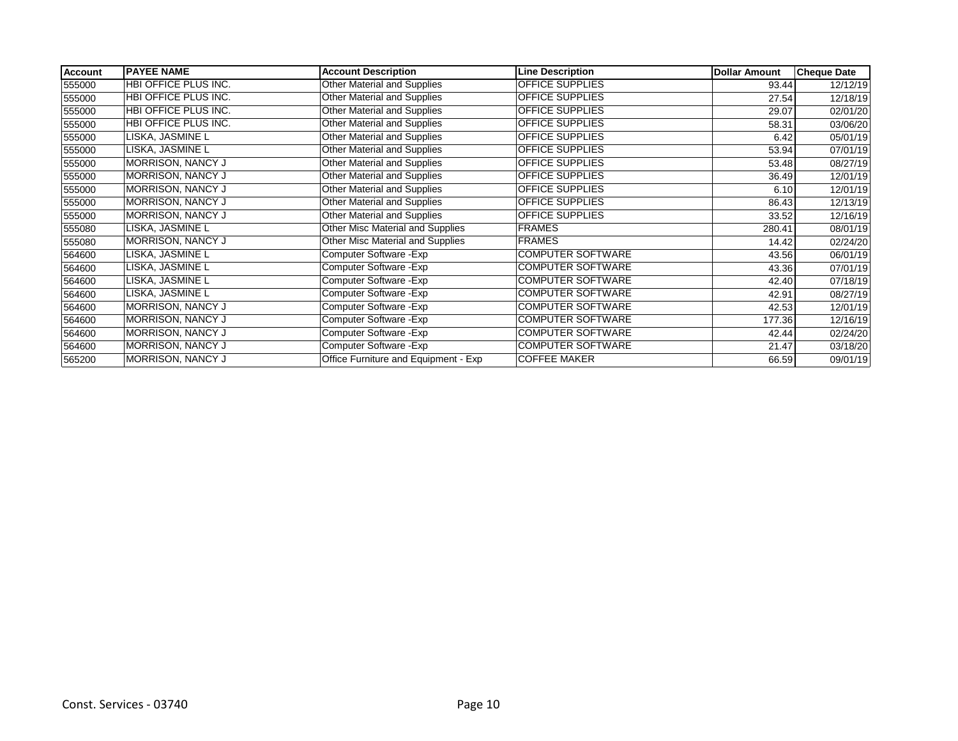| <b>Account</b> | <b>PAYEE NAME</b>           | <b>Account Description</b>           | <b>Line Description</b>  | <b>Dollar Amount</b> | <b>Cheque Date</b> |
|----------------|-----------------------------|--------------------------------------|--------------------------|----------------------|--------------------|
| 555000         | <b>HBI OFFICE PLUS INC.</b> | Other Material and Supplies          | <b>OFFICE SUPPLIES</b>   | 93.44                | 12/12/19           |
| 555000         | HBI OFFICE PLUS INC.        | Other Material and Supplies          | <b>OFFICE SUPPLIES</b>   | 27.54                | 12/18/19           |
| 555000         | HBI OFFICE PLUS INC.        | Other Material and Supplies          | OFFICE SUPPLIES          | 29.07                | 02/01/20           |
| 555000         | HBI OFFICE PLUS INC.        | Other Material and Supplies          | <b>OFFICE SUPPLIES</b>   | 58.31                | 03/06/20           |
| 555000         | LISKA, JASMINE L            | Other Material and Supplies          | OFFICE SUPPLIES          | 6.42                 | 05/01/19           |
| 555000         | LISKA, JASMINE L            | Other Material and Supplies          | OFFICE SUPPLIES          | 53.94                | 07/01/19           |
| 555000         | <b>MORRISON, NANCY J</b>    | Other Material and Supplies          | OFFICE SUPPLIES          | 53.48                | 08/27/19           |
| 555000         | <b>MORRISON, NANCY J</b>    | Other Material and Supplies          | <b>OFFICE SUPPLIES</b>   | 36.49                | 12/01/19           |
| 555000         | <b>MORRISON, NANCY J</b>    | Other Material and Supplies          | <b>OFFICE SUPPLIES</b>   | 6.10                 | 12/01/19           |
| 555000         | MORRISON, NANCY J           | Other Material and Supplies          | OFFICE SUPPLIES          | 86.43                | 12/13/19           |
| 555000         | MORRISON, NANCY J           | Other Material and Supplies          | OFFICE SUPPLIES          | 33.52                | 12/16/19           |
| 555080         | LISKA, JASMINE L            | Other Misc Material and Supplies     | <b>FRAMES</b>            | 280.41               | 08/01/19           |
| 555080         | <b>MORRISON, NANCY J</b>    | Other Misc Material and Supplies     | <b>FRAMES</b>            | 14.42                | 02/24/20           |
| 564600         | LISKA, JASMINE L            | Computer Software - Exp              | <b>COMPUTER SOFTWARE</b> | 43.56                | 06/01/19           |
| 564600         | LISKA, JASMINE L            | Computer Software - Exp              | <b>COMPUTER SOFTWARE</b> | 43.36                | 07/01/19           |
| 564600         | LISKA, JASMINE L            | Computer Software - Exp              | <b>COMPUTER SOFTWARE</b> | 42.40                | 07/18/19           |
| 564600         | LISKA, JASMINE L            | Computer Software - Exp              | <b>COMPUTER SOFTWARE</b> | 42.91                | 08/27/19           |
| 564600         | MORRISON, NANCY J           | Computer Software - Exp              | <b>COMPUTER SOFTWARE</b> | 42.53                | 12/01/19           |
| 564600         | <b>MORRISON, NANCY J</b>    | Computer Software - Exp              | <b>COMPUTER SOFTWARE</b> | 177.36               | 12/16/19           |
| 564600         | <b>MORRISON, NANCY J</b>    | Computer Software - Exp              | <b>COMPUTER SOFTWARE</b> | 42.44                | 02/24/20           |
| 564600         | MORRISON, NANCY J           | Computer Software - Exp              | <b>COMPUTER SOFTWARE</b> | 21.47                | 03/18/20           |
| 565200         | MORRISON, NANCY J           | Office Furniture and Equipment - Exp | <b>COFFEE MAKER</b>      | 66.59                | 09/01/19           |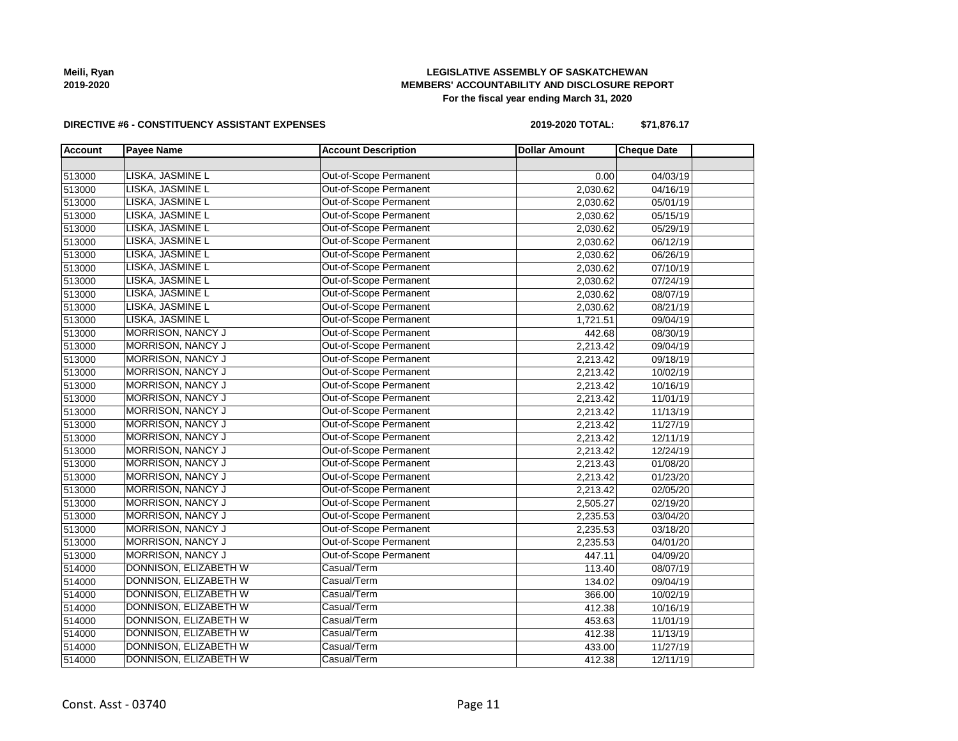| Const. Asst - 03740 | Page 11 |
|---------------------|---------|
|                     |         |

#### **DIRECTIVE #6 - CONSTITUENCY ASSISTANT EXPENSES**

**2019-2020 TOTAL: \$71,876.17**

| <b>Account</b> | <b>Payee Name</b>        | <b>Account Description</b>    | <b>Dollar Amount</b> | <b>Cheque Date</b> |
|----------------|--------------------------|-------------------------------|----------------------|--------------------|
|                |                          |                               |                      |                    |
| 513000         | LISKA, JASMINE L         | Out-of-Scope Permanent        | 0.00                 | 04/03/19           |
| 513000         | LISKA, JASMINE L         | Out-of-Scope Permanent        | 2,030.62             | 04/16/19           |
| 513000         | LISKA, JASMINE L         | Out-of-Scope Permanent        | 2,030.62             | 05/01/19           |
| 513000         | LISKA, JASMINE L         | Out-of-Scope Permanent        | 2,030.62             | 05/15/19           |
| 513000         | LISKA, JASMINE L         | <b>Out-of-Scope Permanent</b> | 2,030.62             | 05/29/19           |
| 513000         | LISKA, JASMINE L         | Out-of-Scope Permanent        | 2,030.62             | 06/12/19           |
| 513000         | LISKA, JASMINE L         | Out-of-Scope Permanent        | 2,030.62             | 06/26/19           |
| 513000         | LISKA, JASMINE L         | Out-of-Scope Permanent        | 2,030.62             | 07/10/19           |
| 513000         | LISKA, JASMINE L         | Out-of-Scope Permanent        | 2,030.62             | 07/24/19           |
| 513000         | LISKA, JASMINE L         | Out-of-Scope Permanent        | 2,030.62             | 08/07/19           |
| 513000         | LISKA, JASMINE L         | Out-of-Scope Permanent        | 2,030.62             | 08/21/19           |
| 513000         | LISKA, JASMINE L         | Out-of-Scope Permanent        | 1,721.51             | 09/04/19           |
| 513000         | <b>MORRISON, NANCY J</b> | Out-of-Scope Permanent        | 442.68               | 08/30/19           |
| 513000         | <b>MORRISON, NANCY J</b> | Out-of-Scope Permanent        | 2,213.42             | 09/04/19           |
| 513000         | <b>MORRISON, NANCY J</b> | Out-of-Scope Permanent        | 2,213.42             | 09/18/19           |
| 513000         | MORRISON, NANCY J        | Out-of-Scope Permanent        | 2,213.42             | 10/02/19           |
| 513000         | MORRISON, NANCY J        | Out-of-Scope Permanent        | 2,213.42             | 10/16/19           |
| 513000         | <b>MORRISON, NANCY J</b> | Out-of-Scope Permanent        | 2,213.42             | 11/01/19           |
| 513000         | <b>MORRISON, NANCY J</b> | Out-of-Scope Permanent        | 2,213.42             | 11/13/19           |
| 513000         | <b>MORRISON, NANCY J</b> | Out-of-Scope Permanent        | 2,213.42             | 11/27/19           |
| 513000         | <b>MORRISON, NANCY J</b> | Out-of-Scope Permanent        | 2,213.42             | 12/11/19           |
| 513000         | MORRISON, NANCY J        | Out-of-Scope Permanent        | 2,213.42             | 12/24/19           |
| 513000         | MORRISON, NANCY J        | Out-of-Scope Permanent        | 2,213.43             | 01/08/20           |
| 513000         | <b>MORRISON, NANCY J</b> | Out-of-Scope Permanent        | 2,213.42             | 01/23/20           |
| 513000         | <b>MORRISON, NANCY J</b> | Out-of-Scope Permanent        | 2,213.42             | 02/05/20           |
| 513000         | <b>MORRISON, NANCY J</b> | Out-of-Scope Permanent        | 2,505.27             | 02/19/20           |
| 513000         | <b>MORRISON, NANCY J</b> | Out-of-Scope Permanent        | 2,235.53             | 03/04/20           |
| 513000         | <b>MORRISON, NANCY J</b> | Out-of-Scope Permanent        | 2,235.53             | 03/18/20           |
| 513000         | <b>MORRISON, NANCY J</b> | Out-of-Scope Permanent        | 2,235.53             | 04/01/20           |
| 513000         | <b>MORRISON, NANCY J</b> | Out-of-Scope Permanent        | 447.11               | 04/09/20           |
| 514000         | DONNISON, ELIZABETH W    | Casual/Term                   | 113.40               | 08/07/19           |
| 514000         | DONNISON, ELIZABETH W    | Casual/Term                   | 134.02               | 09/04/19           |
| 514000         | DONNISON, ELIZABETH W    | Casual/Term                   | 366.00               | 10/02/19           |
| 514000         | DONNISON, ELIZABETH W    | Casual/Term                   | 412.38               | 10/16/19           |
| 514000         | DONNISON, ELIZABETH W    | Casual/Term                   | 453.63               | 11/01/19           |
| 514000         | DONNISON, ELIZABETH W    | Casual/Term                   | 412.38               | 11/13/19           |
| 514000         | DONNISON, ELIZABETH W    | Casual/Term                   | 433.00               | 11/27/19           |
| 514000         | DONNISON, ELIZABETH W    | Casual/Term                   | 412.38               | 12/11/19           |

### **Meili, Ryan 2019-2020**